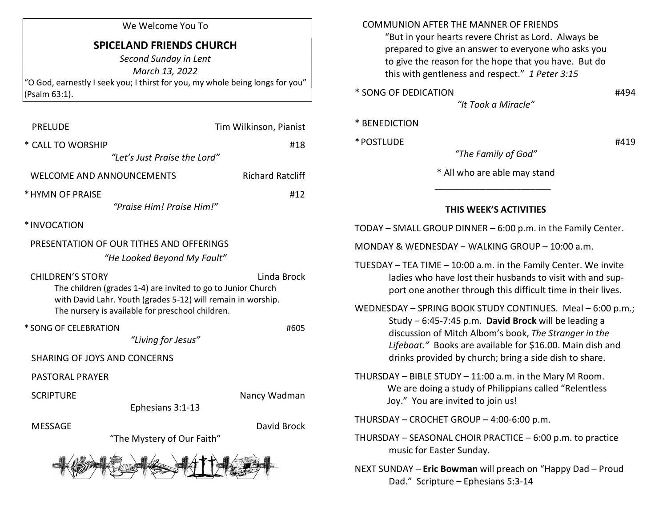## We Welcome You To

## SPICELAND FRIENDS CHURCH

Second Sunday in Lent March 13, 2022 "O God, earnestly I seek you; I thirst for you, my whole being longs for you" (Psalm 63:1).

| <b>PRELUDE</b>                                                                                                                                                                                                             | Tim Wilkinson, Pianist  |
|----------------------------------------------------------------------------------------------------------------------------------------------------------------------------------------------------------------------------|-------------------------|
| * CALL TO WORSHIP                                                                                                                                                                                                          | #18                     |
| "Let's Just Praise the Lord"                                                                                                                                                                                               |                         |
| <b>WELCOME AND ANNOUNCEMENTS</b>                                                                                                                                                                                           | <b>Richard Ratcliff</b> |
| * HYMN OF PRAISE                                                                                                                                                                                                           | #12                     |
| "Praise Him! Praise Him!"                                                                                                                                                                                                  |                         |
| *INVOCATION                                                                                                                                                                                                                |                         |
| PRESENTATION OF OUR TITHES AND OFFERINGS                                                                                                                                                                                   |                         |
| "He Looked Beyond My Fault"                                                                                                                                                                                                |                         |
| <b>CHILDREN'S STORY</b><br>Linda Brock<br>The children (grades 1-4) are invited to go to Junior Church<br>with David Lahr. Youth (grades 5-12) will remain in worship.<br>The nursery is available for preschool children. |                         |
| * SONG OF CELEBRATION                                                                                                                                                                                                      | #605                    |
| "Living for Jesus"                                                                                                                                                                                                         |                         |
| <b>SHARING OF JOYS AND CONCERNS</b>                                                                                                                                                                                        |                         |
| <b>PASTORAL PRAYER</b>                                                                                                                                                                                                     |                         |
| <b>SCRIPTURE</b>                                                                                                                                                                                                           | Nancy Wadman            |
| Ephesians 3:1-13                                                                                                                                                                                                           |                         |
| <b>MESSAGE</b>                                                                                                                                                                                                             | David Brock             |
| "The Mystery of Our Faith"                                                                                                                                                                                                 |                         |
|                                                                                                                                                                                                                            |                         |

## COMMUNION AFTER THE MANNER OF FRIENDS "But in your hearts revere Christ as Lord. Always be prepared to give an answer to everyone who asks you to give the reason for the hope that you have. But do this with gentleness and respect." 1 Peter 3:15 \* SONG OF DEDICATION #494 "It Took a Miracle" \* BENEDICTION \* POSTLUDE #419 "The Family of God" \* All who are able may stand  $\frac{1}{2}$  ,  $\frac{1}{2}$  ,  $\frac{1}{2}$  ,  $\frac{1}{2}$  ,  $\frac{1}{2}$  ,  $\frac{1}{2}$  ,  $\frac{1}{2}$  ,  $\frac{1}{2}$  ,  $\frac{1}{2}$  ,  $\frac{1}{2}$  ,  $\frac{1}{2}$  ,  $\frac{1}{2}$  ,  $\frac{1}{2}$  ,  $\frac{1}{2}$  ,  $\frac{1}{2}$  ,  $\frac{1}{2}$  ,  $\frac{1}{2}$  ,  $\frac{1}{2}$  ,  $\frac{1$ THIS WEEK'S ACTIVITIES TODAY – SMALL GROUP DINNER – 6:00 p.m. in the Family Center. MONDAY & WEDNESDAY − WALKING GROUP – 10:00 a.m. TUESDAY – TEA TIME – 10:00 a.m. in the Family Center. We invite ladies who have lost their husbands to visit with and sup port one another through this difficult time in their lives. WEDNESDAY – SPRING BOOK STUDY CONTINUES. Meal – 6:00 p.m.; Study − 6:45-7:45 p.m. David Brock will be leading a discussion of Mitch Albom's book, The Stranger in the Lifeboat." Books are available for \$16.00. Main dish and drinks provided by church; bring a side dish to share. THURSDAY – BIBLE STUDY – 11:00 a.m. in the Mary M Room. We are doing a study of Philippians called "Relentless Joy." You are invited to join us! THURSDAY – CROCHET GROUP – 4:00-6:00 p.m.

- THURSDAY SEASONAL CHOIR PRACTICE 6:00 p.m. to practice music for Easter Sunday.
- NEXT SUNDAY Eric Bowman will preach on "Happy Dad Proud Dad." Scripture – Ephesians 5:3-14